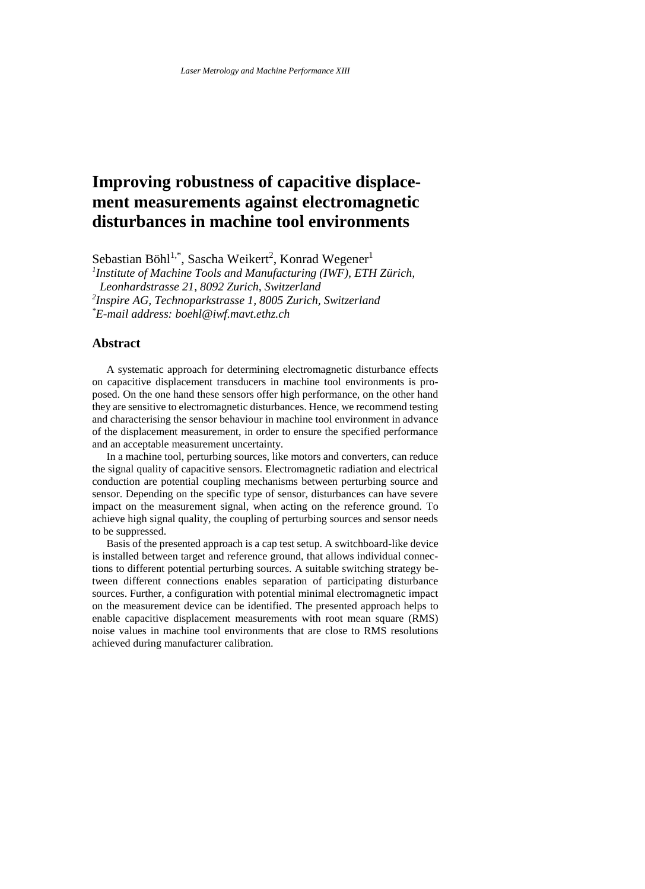# **Improving robustness of capacitive displacement measurements against electromagnetic disturbances in machine tool environments**

Sebastian Böhl<sup>1,\*</sup>, Sascha Weikert<sup>2</sup>, Konrad Wegener<sup>1</sup>

*1 Institute of Machine Tools and Manufacturing (IWF), ETH Zürich,* 

*Leonhardstrasse 21, 8092 Zurich, Switzerland*

*2 Inspire AG, Technoparkstrasse 1, 8005 Zurich, Switzerland*

*\*E-mail address: boehl@iwf.mavt.ethz.ch*

## **Abstract**

A systematic approach for determining electromagnetic disturbance effects on capacitive displacement transducers in machine tool environments is proposed. On the one hand these sensors offer high performance, on the other hand they are sensitive to electromagnetic disturbances. Hence, we recommend testing and characterising the sensor behaviour in machine tool environment in advance of the displacement measurement, in order to ensure the specified performance and an acceptable measurement uncertainty.

In a machine tool, perturbing sources, like motors and converters, can reduce the signal quality of capacitive sensors. Electromagnetic radiation and electrical conduction are potential coupling mechanisms between perturbing source and sensor. Depending on the specific type of sensor, disturbances can have severe impact on the measurement signal, when acting on the reference ground. To achieve high signal quality, the coupling of perturbing sources and sensor needs to be suppressed.

Basis of the presented approach is a cap test setup. A switchboard-like device is installed between target and reference ground, that allows individual connections to different potential perturbing sources. A suitable switching strategy between different connections enables separation of participating disturbance sources. Further, a configuration with potential minimal electromagnetic impact on the measurement device can be identified. The presented approach helps to enable capacitive displacement measurements with root mean square (RMS) noise values in machine tool environments that are close to RMS resolutions achieved during manufacturer calibration.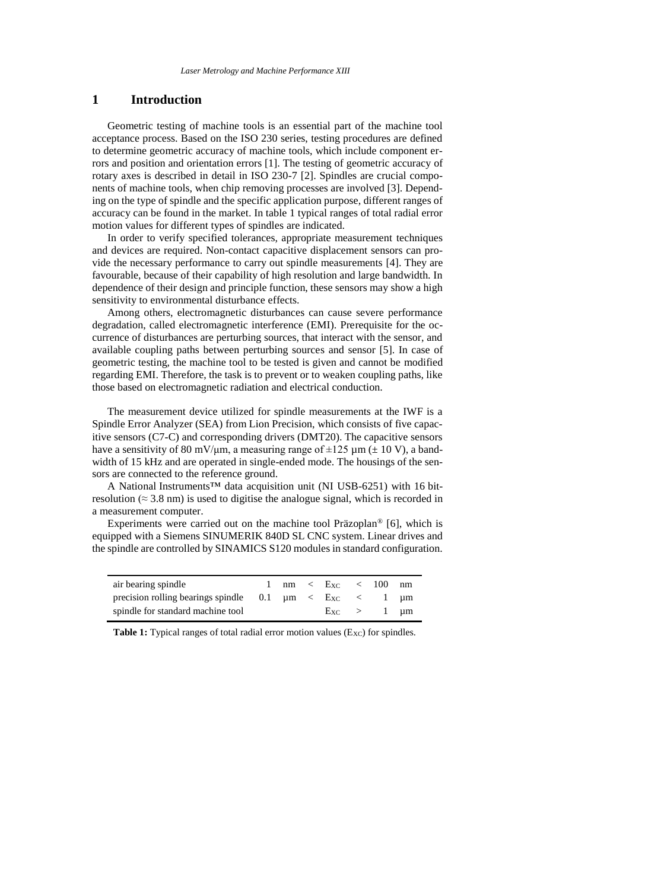## **1 Introduction**

Geometric testing of machine tools is an essential part of the machine tool acceptance process. Based on the ISO 230 series, testing procedures are defined to determine geometric accuracy of machine tools, which include component errors and position and orientation errors [1]. The testing of geometric accuracy of rotary axes is described in detail in ISO 230-7 [2]. Spindles are crucial components of machine tools, when chip removing processes are involved [3]. Depending on the type of spindle and the specific application purpose, different ranges of accuracy can be found in the market. In table 1 typical ranges of total radial error motion values for different types of spindles are indicated.

In order to verify specified tolerances, appropriate measurement techniques and devices are required. Non-contact capacitive displacement sensors can provide the necessary performance to carry out spindle measurements [4]. They are favourable, because of their capability of high resolution and large bandwidth. In dependence of their design and principle function, these sensors may show a high sensitivity to environmental disturbance effects.

Among others, electromagnetic disturbances can cause severe performance degradation, called electromagnetic interference (EMI). Prerequisite for the occurrence of disturbances are perturbing sources, that interact with the sensor, and available coupling paths between perturbing sources and sensor [5]. In case of geometric testing, the machine tool to be tested is given and cannot be modified regarding EMI. Therefore, the task is to prevent or to weaken coupling paths, like those based on electromagnetic radiation and electrical conduction.

The measurement device utilized for spindle measurements at the IWF is a Spindle Error Analyzer (SEA) from Lion Precision, which consists of five capacitive sensors (C7-C) and corresponding drivers (DMT20). The capacitive sensors have a sensitivity of 80 mV/ $\mu$ m, a measuring range of  $\pm 125 \mu$ m ( $\pm 10 \text{ V}$ ), a bandwidth of 15 kHz and are operated in single-ended mode. The housings of the sensors are connected to the reference ground.

A National Instruments™ data acquisition unit (NI USB-6251) with 16 bitresolution ( $\approx$  3.8 nm) is used to digitise the analogue signal, which is recorded in a measurement computer.

Experiments were carried out on the machine tool Präzoplan® [6], which is equipped with a Siemens SINUMERIK 840D SL CNC system. Linear drives and the spindle are controlled by SINAMICS S120 modules in standard configuration.

| air bearing spindle                                               |  | $nm \leq Exc \leq 100$ |  | nm |
|-------------------------------------------------------------------|--|------------------------|--|----|
| precision rolling bearings spindle $0.1 \mu m < E_{XC} < 1 \mu m$ |  |                        |  |    |
| spindle for standard machine tool                                 |  | $Exc > 1$ um           |  |    |

**Table 1:** Typical ranges of total radial error motion values (Exc) for spindles.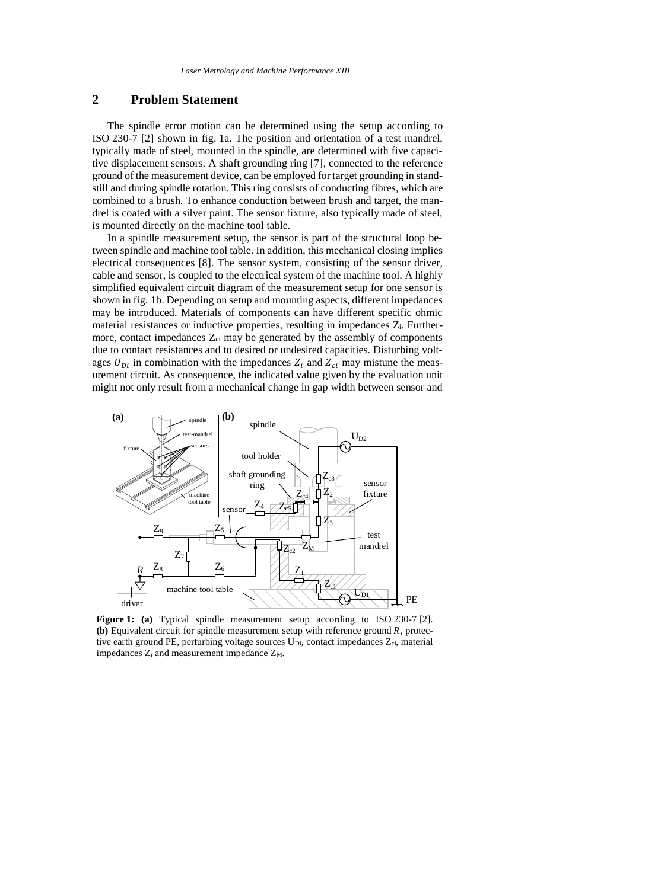# **2 Problem Statement**

The spindle error motion can be determined using the setup according to ISO 230-7 [2] shown in fig. 1a. The position and orientation of a test mandrel, typically made of steel, mounted in the spindle, are determined with five capacitive displacement sensors. A shaft grounding ring [7], connected to the reference ground of the measurement device, can be employed for target grounding in standstill and during spindle rotation. This ring consists of conducting fibres, which are combined to a brush. To enhance conduction between brush and target, the mandrel is coated with a silver paint. The sensor fixture, also typically made of steel, is mounted directly on the machine tool table.

In a spindle measurement setup, the sensor is part of the structural loop between spindle and machine tool table. In addition, this mechanical closing implies electrical consequences [8]. The sensor system, consisting of the sensor driver, cable and sensor, is coupled to the electrical system of the machine tool. A highly simplified equivalent circuit diagram of the measurement setup for one sensor is shown in fig. 1b. Depending on setup and mounting aspects, different impedances may be introduced. Materials of components can have different specific ohmic material resistances or inductive properties, resulting in impedances  $Z_i$ . Furthermore, contact impedances  $Z_{ci}$  may be generated by the assembly of components due to contact resistances and to desired or undesired capacities. Disturbing voltages  $U_{Di}$  in combination with the impedances  $Z_i$  and  $Z_{ci}$  may mistune the measurement circuit. As consequence, the indicated value given by the evaluation unit might not only result from a mechanical change in gap width between sensor and



**Figure 1: (a)** Typical spindle measurement setup according to ISO 230-7 [2]. **(b)** Equivalent circuit for spindle measurement setup with reference ground *, protec*tive earth ground PE, perturbing voltage sources  $U_{Di}$ , contact impedances  $Z_{ci}$ , material impedances  $Z_i$  and measurement impedance  $Z_M$ .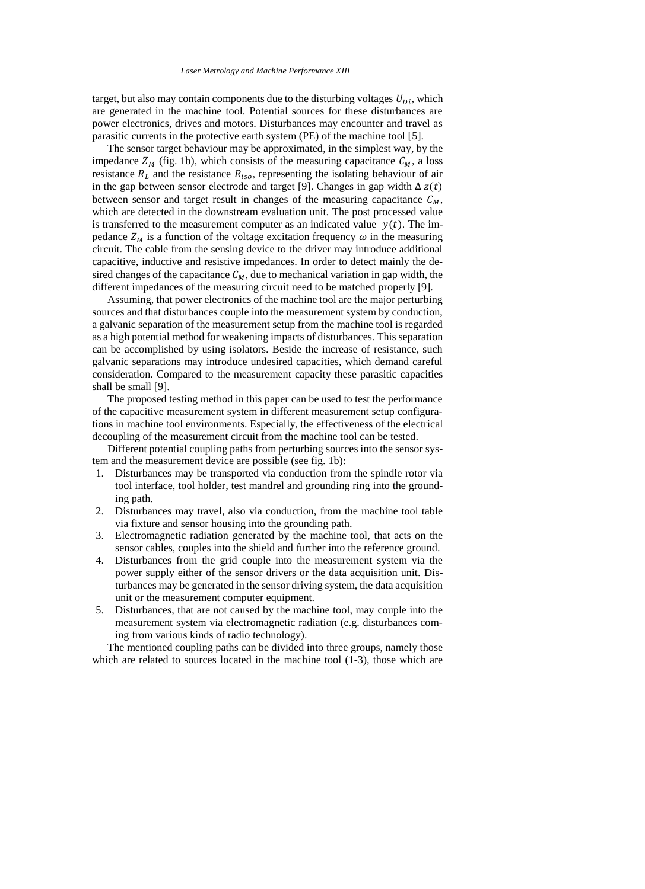#### *Laser Metrology and Machine Performance XIII*

target, but also may contain components due to the disturbing voltages  $U_{Di}$ , which are generated in the machine tool. Potential sources for these disturbances are power electronics, drives and motors. Disturbances may encounter and travel as parasitic currents in the protective earth system (PE) of the machine tool [5].

The sensor target behaviour may be approximated, in the simplest way, by the impedance  $Z_M$  (fig. 1b), which consists of the measuring capacitance  $C_M$ , a loss resistance  $R_L$  and the resistance  $R_{iso}$ , representing the isolating behaviour of air in the gap between sensor electrode and target [9]. Changes in gap width  $\Delta z(t)$ between sensor and target result in changes of the measuring capacitance  $C_M$ , which are detected in the downstream evaluation unit. The post processed value is transferred to the measurement computer as an indicated value  $y(t)$ . The impedance  $Z_M$  is a function of the voltage excitation frequency  $\omega$  in the measuring circuit. The cable from the sensing device to the driver may introduce additional capacitive, inductive and resistive impedances. In order to detect mainly the desired changes of the capacitance  $C_M$ , due to mechanical variation in gap width, the different impedances of the measuring circuit need to be matched properly [9].

Assuming, that power electronics of the machine tool are the major perturbing sources and that disturbances couple into the measurement system by conduction, a galvanic separation of the measurement setup from the machine tool is regarded as a high potential method for weakening impacts of disturbances. This separation can be accomplished by using isolators. Beside the increase of resistance, such galvanic separations may introduce undesired capacities, which demand careful consideration. Compared to the measurement capacity these parasitic capacities shall be small [9].

The proposed testing method in this paper can be used to test the performance of the capacitive measurement system in different measurement setup configurations in machine tool environments. Especially, the effectiveness of the electrical decoupling of the measurement circuit from the machine tool can be tested.

Different potential coupling paths from perturbing sources into the sensor system and the measurement device are possible (see fig. 1b):

- 1. Disturbances may be transported via conduction from the spindle rotor via tool interface, tool holder, test mandrel and grounding ring into the grounding path.
- 2. Disturbances may travel, also via conduction, from the machine tool table via fixture and sensor housing into the grounding path.
- 3. Electromagnetic radiation generated by the machine tool, that acts on the sensor cables, couples into the shield and further into the reference ground.
- 4. Disturbances from the grid couple into the measurement system via the power supply either of the sensor drivers or the data acquisition unit. Disturbances may be generated in the sensor driving system, the data acquisition unit or the measurement computer equipment.
- 5. Disturbances, that are not caused by the machine tool, may couple into the measurement system via electromagnetic radiation (e.g. disturbances coming from various kinds of radio technology).

The mentioned coupling paths can be divided into three groups, namely those which are related to sources located in the machine tool  $(1-3)$ , those which are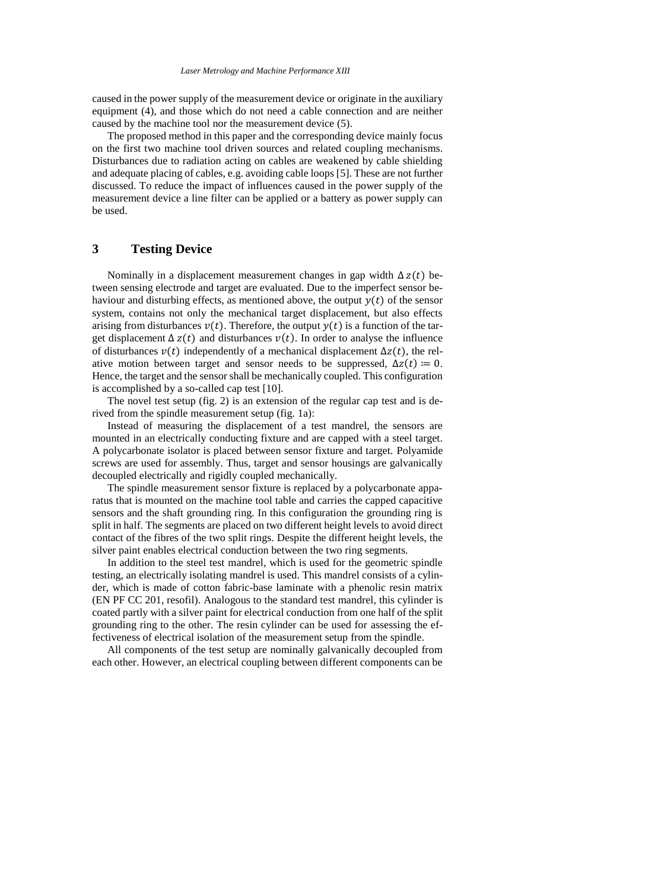caused in the power supply of the measurement device or originate in the auxiliary equipment (4), and those which do not need a cable connection and are neither caused by the machine tool nor the measurement device (5).

The proposed method in this paper and the corresponding device mainly focus on the first two machine tool driven sources and related coupling mechanisms. Disturbances due to radiation acting on cables are weakened by cable shielding and adequate placing of cables, e.g. avoiding cable loops [5]. These are not further discussed. To reduce the impact of influences caused in the power supply of the measurement device a line filter can be applied or a battery as power supply can be used.

# **3 Testing Device**

Nominally in a displacement measurement changes in gap width  $\Delta z(t)$  between sensing electrode and target are evaluated. Due to the imperfect sensor behaviour and disturbing effects, as mentioned above, the output  $y(t)$  of the sensor system, contains not only the mechanical target displacement, but also effects arising from disturbances  $v(t)$ . Therefore, the output  $v(t)$  is a function of the target displacement  $\Delta z(t)$  and disturbances  $v(t)$ . In order to analyse the influence of disturbances  $v(t)$  independently of a mechanical displacement  $\Delta z(t)$ , the relative motion between target and sensor needs to be suppressed,  $\Delta z(t) \coloneqq 0$ . Hence, the target and the sensor shall be mechanically coupled. This configuration is accomplished by a so-called cap test [10].

The novel test setup (fig. 2) is an extension of the regular cap test and is derived from the spindle measurement setup (fig. 1a):

Instead of measuring the displacement of a test mandrel, the sensors are mounted in an electrically conducting fixture and are capped with a steel target. A polycarbonate isolator is placed between sensor fixture and target. Polyamide screws are used for assembly. Thus, target and sensor housings are galvanically decoupled electrically and rigidly coupled mechanically.

The spindle measurement sensor fixture is replaced by a polycarbonate apparatus that is mounted on the machine tool table and carries the capped capacitive sensors and the shaft grounding ring. In this configuration the grounding ring is split in half. The segments are placed on two different height levels to avoid direct contact of the fibres of the two split rings. Despite the different height levels, the silver paint enables electrical conduction between the two ring segments.

In addition to the steel test mandrel, which is used for the geometric spindle testing, an electrically isolating mandrel is used. This mandrel consists of a cylinder, which is made of cotton fabric-base laminate with a phenolic resin matrix (EN PF CC 201, resofil). Analogous to the standard test mandrel, this cylinder is coated partly with a silver paint for electrical conduction from one half of the split grounding ring to the other. The resin cylinder can be used for assessing the effectiveness of electrical isolation of the measurement setup from the spindle.

All components of the test setup are nominally galvanically decoupled from each other. However, an electrical coupling between different components can be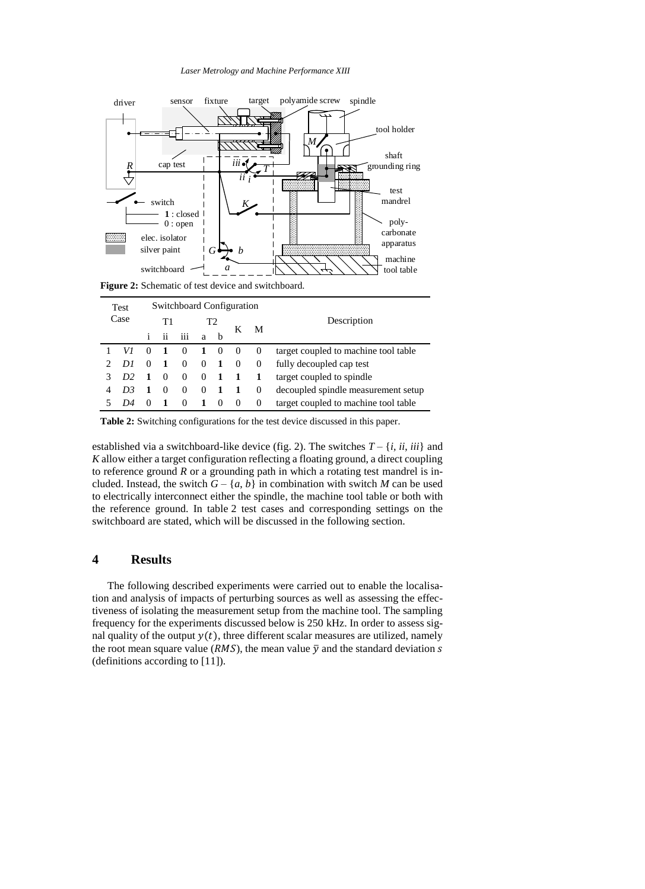#### *Laser Metrology and Machine Performance XIII*



**Figure 2:** Schematic of test device and switchboard.

| <b>Switchboard Configuration</b><br>Test |                |          |          |          |          |          |          |             |                                      |  |  |
|------------------------------------------|----------------|----------|----------|----------|----------|----------|----------|-------------|--------------------------------------|--|--|
| Case                                     |                | Τ1       |          | Τ2       |          |          |          | Description |                                      |  |  |
|                                          |                |          | ii       | iii      | a        | b        | K        | M           |                                      |  |  |
|                                          |                | $\theta$ |          | $\Omega$ | -1       | $\theta$ | $\theta$ | $\Omega$    | target coupled to machine tool table |  |  |
|                                          | DI             | $\theta$ |          | $\theta$ | $\Omega$ | 1        | $\left($ | $\Omega$    | fully decoupled cap test             |  |  |
|                                          | D <sub>2</sub> |          |          | $\theta$ | $\Omega$ |          |          |             | target coupled to spindle            |  |  |
|                                          | D3             |          | $\theta$ | $\Omega$ | 0        | 1        | -1       | $\Omega$    | decoupled spindle measurement setup  |  |  |
|                                          | 1)4            | $\theta$ |          | $\Omega$ |          | $\theta$ | $\theta$ | $\theta$    | target coupled to machine tool table |  |  |

**Table 2:** Switching configurations for the test device discussed in this paper.

established via a switchboard-like device (fig. 2). The switches  $T - \{i, ii, iii\}$  and *K* allow either a target configuration reflecting a floating ground, a direct coupling to reference ground *R* or a grounding path in which a rotating test mandrel is included. Instead, the switch  $G - \{a, b\}$  in combination with switch *M* can be used to electrically interconnect either the spindle, the machine tool table or both with the reference ground. In table 2 test cases and corresponding settings on the switchboard are stated, which will be discussed in the following section.

## **4 Results**

The following described experiments were carried out to enable the localisation and analysis of impacts of perturbing sources as well as assessing the effectiveness of isolating the measurement setup from the machine tool. The sampling frequency for the experiments discussed below is 250 kHz. In order to assess signal quality of the output  $y(t)$ , three different scalar measures are utilized, namely the root mean square value ( $RMS$ ), the mean value  $\bar{y}$  and the standard deviation s (definitions according to [11]).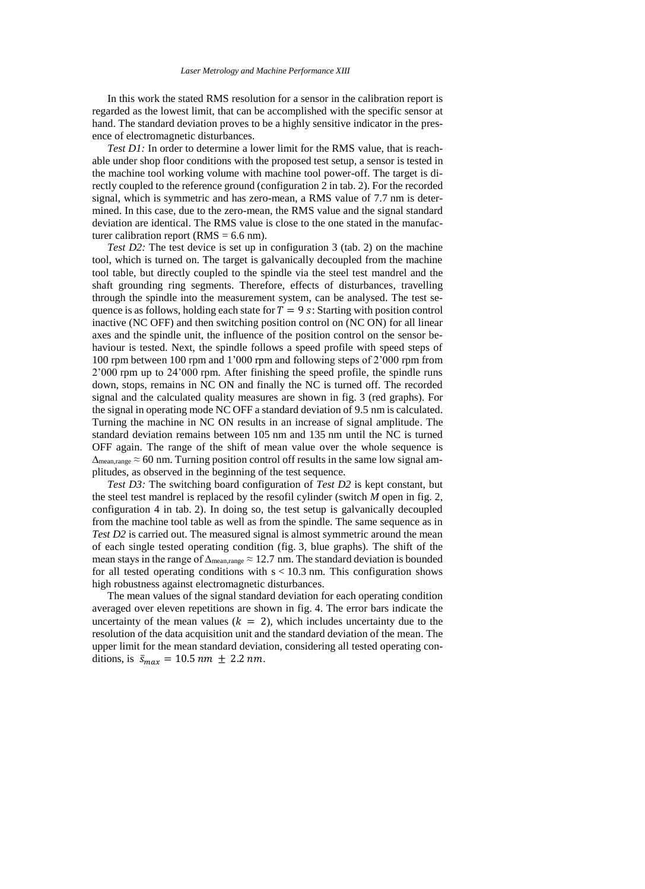In this work the stated RMS resolution for a sensor in the calibration report is regarded as the lowest limit, that can be accomplished with the specific sensor at hand. The standard deviation proves to be a highly sensitive indicator in the presence of electromagnetic disturbances.

*Test D1*: In order to determine a lower limit for the RMS value, that is reachable under shop floor conditions with the proposed test setup, a sensor is tested in the machine tool working volume with machine tool power-off. The target is directly coupled to the reference ground (configuration 2 in tab. 2). For the recorded signal, which is symmetric and has zero-mean, a RMS value of 7.7 nm is determined. In this case, due to the zero-mean, the RMS value and the signal standard deviation are identical. The RMS value is close to the one stated in the manufacturer calibration report ( $RMS = 6.6$  nm).

*Test D2*: The test device is set up in configuration 3 (tab. 2) on the machine tool, which is turned on. The target is galvanically decoupled from the machine tool table, but directly coupled to the spindle via the steel test mandrel and the shaft grounding ring segments. Therefore, effects of disturbances, travelling through the spindle into the measurement system, can be analysed. The test sequence is as follows, holding each state for  $T = 9$  s: Starting with position control inactive (NC OFF) and then switching position control on (NC ON) for all linear axes and the spindle unit, the influence of the position control on the sensor behaviour is tested. Next, the spindle follows a speed profile with speed steps of 100 rpm between 100 rpm and 1'000 rpm and following steps of 2'000 rpm from 2'000 rpm up to 24'000 rpm. After finishing the speed profile, the spindle runs down, stops, remains in NC ON and finally the NC is turned off. The recorded signal and the calculated quality measures are shown in fig. 3 (red graphs). For the signal in operating mode NC OFF a standard deviation of 9.5 nm is calculated. Turning the machine in NC ON results in an increase of signal amplitude. The standard deviation remains between 105 nm and 135 nm until the NC is turned OFF again. The range of the shift of mean value over the whole sequence is  $\Delta_{\text{mean,range}} \approx 60 \text{ nm}$ . Turning position control off results in the same low signal amplitudes, as observed in the beginning of the test sequence.

*Test D3:* The switching board configuration of *Test D2* is kept constant, but the steel test mandrel is replaced by the resofil cylinder (switch *M* open in fig. 2, configuration 4 in tab. 2). In doing so, the test setup is galvanically decoupled from the machine tool table as well as from the spindle. The same sequence as in *Test D2* is carried out. The measured signal is almost symmetric around the mean of each single tested operating condition (fig. 3, blue graphs). The shift of the mean stays in the range of  $\Delta_{\text{mean,range}} \approx 12.7 \text{ nm}$ . The standard deviation is bounded for all tested operating conditions with  $s < 10.3$  nm. This configuration shows high robustness against electromagnetic disturbances.

The mean values of the signal standard deviation for each operating condition averaged over eleven repetitions are shown in fig. 4. The error bars indicate the uncertainty of the mean values ( $k = 2$ ), which includes uncertainty due to the resolution of the data acquisition unit and the standard deviation of the mean. The upper limit for the mean standard deviation, considering all tested operating conditions, is  $\bar{s}_{max} = 10.5$  nm  $\pm$  2.2 nm.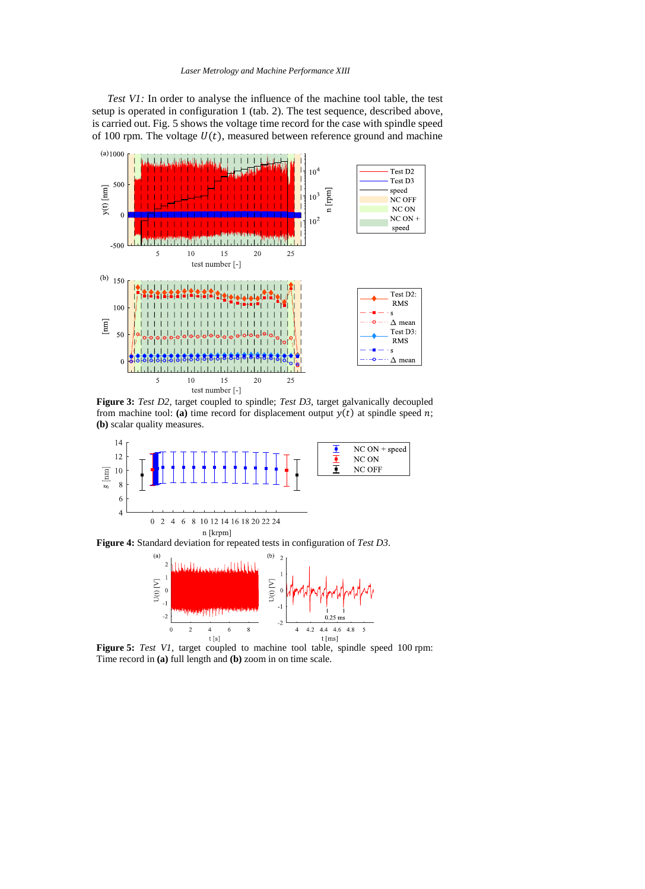#### *Laser Metrology and Machine Performance XIII*

*Test V1:* In order to analyse the influence of the machine tool table, the test setup is operated in configuration 1 (tab. 2). The test sequence, described above, is carried out. Fig. 5 shows the voltage time record for the case with spindle speed of 100 rpm. The voltage  $U(t)$ , measured between reference ground and machine



**Figure 3:** *Test D2*, target coupled to spindle; *Test D3*, target galvanically decoupled from machine tool: (a) time record for displacement output  $y(t)$  at spindle speed  $n$ ; **(b)** scalar quality measures.



**Figure 4:** Standard deviation for repeated tests in configuration of *Test D3*.



**Figure 5:** *Test V1*, target coupled to machine tool table, spindle speed 100 rpm: Time record in **(a)** full length and **(b)** zoom in on time scale.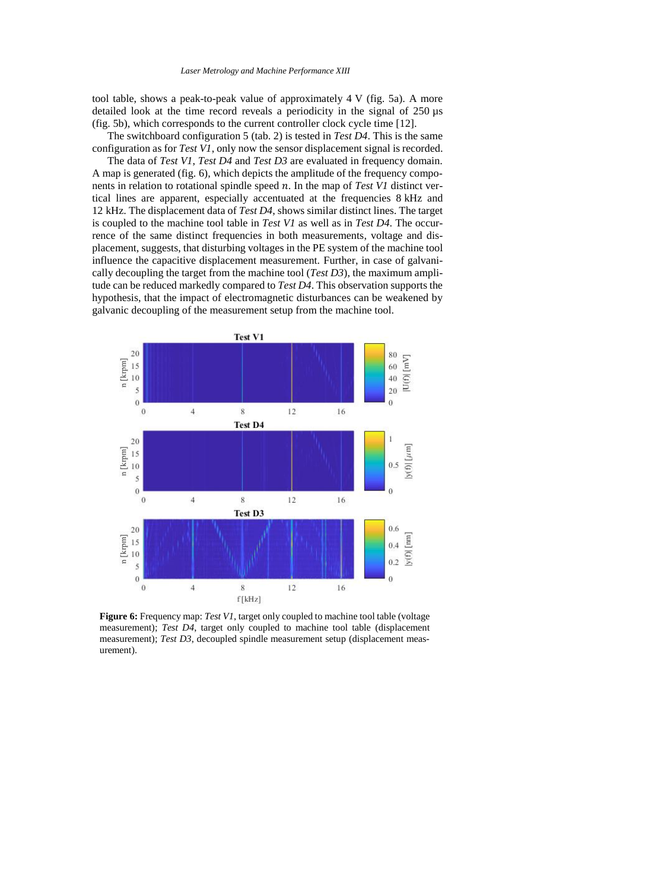tool table, shows a peak-to-peak value of approximately 4 V (fig. 5a). A more detailed look at the time record reveals a periodicity in the signal of 250 µs (fig. 5b), which corresponds to the current controller clock cycle time [12].

The switchboard configuration 5 (tab. 2) is tested in *Test D4*. This is the same configuration as for *Test V1*, only now the sensor displacement signal is recorded.

The data of *Test V1*, *Test D4* and *Test D3* are evaluated in frequency domain. A map is generated (fig. 6), which depicts the amplitude of the frequency components in relation to rotational spindle speed n. In the map of *Test V1* distinct vertical lines are apparent, especially accentuated at the frequencies 8 kHz and 12 kHz. The displacement data of *Test D4*, shows similar distinct lines. The target is coupled to the machine tool table in *Test V1* as well as in *Test D4*. The occurrence of the same distinct frequencies in both measurements, voltage and displacement, suggests, that disturbing voltages in the PE system of the machine tool influence the capacitive displacement measurement. Further, in case of galvanically decoupling the target from the machine tool (*Test D3*), the maximum amplitude can be reduced markedly compared to *Test D4*. This observation supports the hypothesis, that the impact of electromagnetic disturbances can be weakened by galvanic decoupling of the measurement setup from the machine tool.



**Figure 6:** Frequency map: *Test V1*, target only coupled to machine tool table (voltage measurement); *Test D4*, target only coupled to machine tool table (displacement measurement); *Test D3*, decoupled spindle measurement setup (displacement measurement).